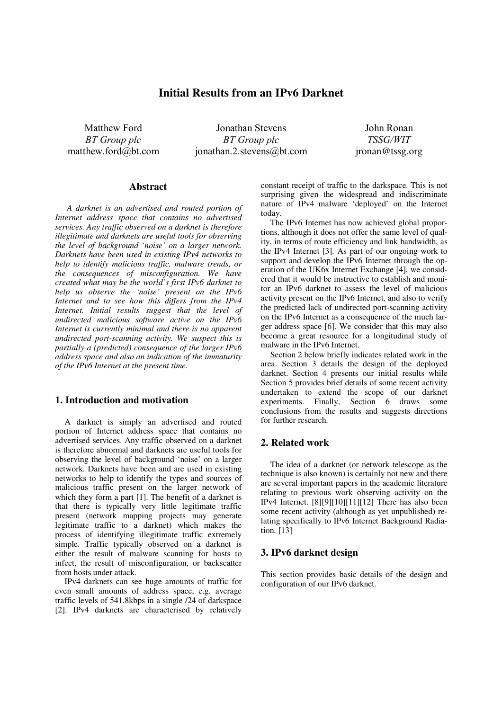# **Initial Results from an IPv6 Darknet**

Matthew Ford *BT Group plc*  matthew.ford@bt.com

Jonathan Stevens *BT Group plc*  jonathan.2.stevens@bt.com

John Ronan *TSSG/WIT* jronan@tssg.org

#### **Abstract**

*A darknet is an advertised and routed portion of Internet address space that contains no advertised services. Any traffic observed on a darknet is therefore illegitimate and darknets are useful tools for observing the level of background 'noise' on a larger network. Darknets have been used in existing IPv4 networks to help to identify malicious traffic, malware trends, or the consequences of misconfiguration. We have created what may be the world's first IPv6 darknet to help us observe the 'noise' present on the IPv6 Internet and to see how this differs from the IPv4 Internet. Initial results suggest that the level of undirected malicious software active on the IPv6 Internet is currently minimal and there is no apparent undirected port-scanning activity. We suspect this is partially a (predicted) consequence of the larger IPv6 address space and also an indication of the immaturity of the IPv6 Internet at the present time.* 

#### **1. Introduction and motivation**

A darknet is simply an advertised and routed portion of Internet address space that contains no advertised services. Any traffic observed on a darknet is therefore abnormal and darknets are useful tools for observing the level of background 'noise' on a larger network. Darknets have been and are used in existing networks to help to identify the types and sources of malicious traffic present on the larger network of which they form a part [1]. The benefit of a darknet is that there is typically very little legitimate traffic present (network mapping projects may generate legitimate traffic to a darknet) which makes the process of identifying illegitimate traffic extremely simple. Traffic typically observed on a darknet is either the result of malware scanning for hosts to infect, the result of misconfiguration, or backscatter from hosts under attack.

IPv4 darknets can see huge amounts of traffic for even small amounts of address space, e.g. average traffic levels of 541.8kbps in a single /24 of darkspace [2]. IPv4 darknets are characterised by relatively

constant receipt of traffic to the darkspace. This is not surprising given the widespread and indiscriminate nature of IPv4 malware 'deployed' on the Internet today.

The IPv6 Internet has now achieved global proportions, although it does not offer the same level of quality, in terms of route efficiency and link bandwidth, as the IPv4 Internet [3]. As part of our ongoing work to support and develop the IPv6 Internet through the operation of the UK6x Internet Exchange [4], we considered that it would be instructive to establish and monitor an IPv6 darknet to assess the level of malicious activity present on the IPv6 Internet, and also to verify the predicted lack of undirected port-scanning activity on the IPv6 Internet as a consequence of the much larger address space [6]. We consider that this may also become a great resource for a longitudinal study of malware in the IPv6 Internet.

Section 2 below briefly indicates related work in the area. Section 3 details the design of the deployed darknet. Section 4 presents our initial results while Section 5 provides brief details of some recent activity undertaken to extend the scope of our darknet experiments. Finally, Section 6 draws some conclusions from the results and suggests directions for further research.

# **2. Related work**

The idea of a darknet (or network telescope as the technique is also known) is certainly not new and there are several important papers in the academic literature relating to previous work observing activity on the IPv4 Internet. [8][9][10][11][12] There has also been some recent activity (although as yet unpublished) relating specifically to IPv6 Internet Background Radiation. [13]

### **3. IPv6 darknet design**

This section provides basic details of the design and configuration of our IPv6 darknet.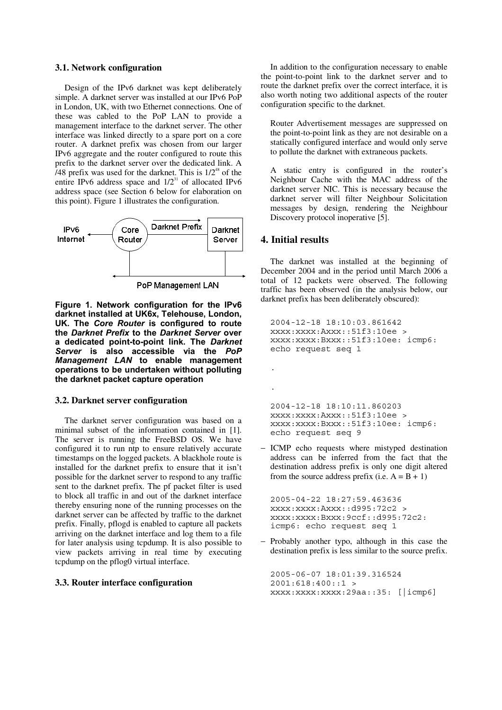#### **3.1. Network configuration**

Design of the IPv6 darknet was kept deliberately simple. A darknet server was installed at our IPv6 PoP in London, UK, with two Ethernet connections. One of these was cabled to the PoP LAN to provide a management interface to the darknet server. The other interface was linked directly to a spare port on a core router. A darknet prefix was chosen from our larger IPv6 aggregate and the router configured to route this prefix to the darknet server over the dedicated link. A /48 prefix was used for the darknet. This is  $1/2^{48}$  of the entire IPv6 address space and  $1/2^{31}$  of allocated IPv6 address space (see Section 6 below for elaboration on this point). Figure 1 illustrates the configuration.



PoP Management LAN

**Figure 1. Network configuration for the IPv6 darknet installed at UK6x, Telehouse, London, UK. The** *Core Router* **is configured to route the** *Darknet Prefix* **to the** *Darknet Server* **over a dedicated point-to-point link. The** *Darknet Server* **is also accessible via the** *PoP Management LAN* **to enable management operations to be undertaken without polluting the darknet packet capture operation** 

### **3.2. Darknet server configuration**

The darknet server configuration was based on a minimal subset of the information contained in [1]. The server is running the FreeBSD OS. We have configured it to run ntp to ensure relatively accurate timestamps on the logged packets. A blackhole route is installed for the darknet prefix to ensure that it isn't possible for the darknet server to respond to any traffic sent to the darknet prefix. The pf packet filter is used to block all traffic in and out of the darknet interface thereby ensuring none of the running processes on the darknet server can be affected by traffic to the darknet prefix. Finally, pflogd is enabled to capture all packets arriving on the darknet interface and log them to a file for later analysis using tcpdump. It is also possible to view packets arriving in real time by executing tcpdump on the pflog0 virtual interface.

#### **3.3. Router interface configuration**

In addition to the configuration necessary to enable the point-to-point link to the darknet server and to route the darknet prefix over the correct interface, it is also worth noting two additional aspects of the router configuration specific to the darknet.

 Router Advertisement messages are suppressed on the point-to-point link as they are not desirable on a statically configured interface and would only serve to pollute the darknet with extraneous packets.

 A static entry is configured in the router's Neighbour Cache with the MAC address of the darknet server NIC. This is necessary because the darknet server will filter Neighbour Solicitation messages by design, rendering the Neighbour Discovery protocol inoperative [5].

## **4. Initial results**

.

.

The darknet was installed at the beginning of December 2004 and in the period until March 2006 a total of 12 packets were observed. The following traffic has been observed (in the analysis below, our darknet prefix has been deliberately obscured):

```
2004-12-18 18:10:03.861642 
xxxx:xxxx:Axxx::51f3:10ee > 
xxxx:xxxx:Bxxx::51f3:10ee: icmp6: 
echo request seq 1
```
2004-12-18 18:10:11.860203 xxxx:xxxx:Axxx::51f3:10ee > xxxx:xxxx:Bxxx::51f3:10ee: icmp6: echo request seq 9

− ICMP echo requests where mistyped destination address can be inferred from the fact that the destination address prefix is only one digit altered from the source address prefix (i.e.  $A = B + 1$ )

2005-04-22 18:27:59.463636 xxxx:xxxx:Axxx::d995:72c2 > xxxx:xxxx:Bxxx:9ccf::d995:72c2: icmp6: echo request seq 1

− Probably another typo, although in this case the destination prefix is less similar to the source prefix.

```
2005-06-07 18:01:39.316524 
2001:618:400::1 > 
xxxx:xxxx:xxxx:29aa::35: [|icmp6]
```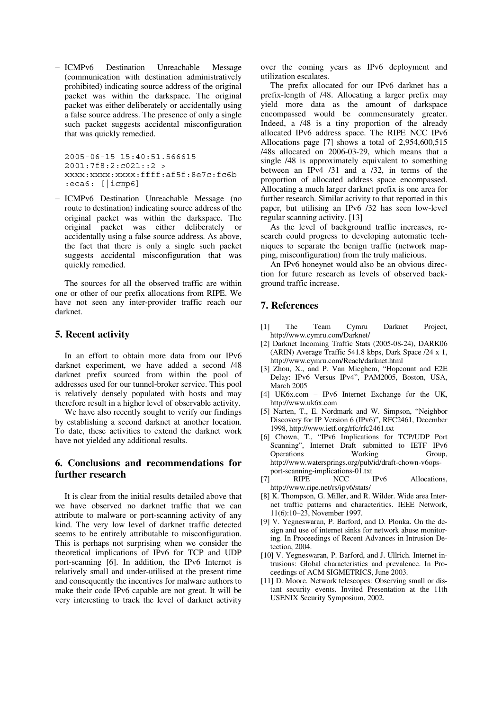− ICMPv6 Destination Unreachable Message (communication with destination administratively prohibited) indicating source address of the original packet was within the darkspace. The original packet was either deliberately or accidentally using a false source address. The presence of only a single such packet suggests accidental misconfiguration that was quickly remedied.

2005-06-15 15:40:51.566615 2001:7f8:2:c021::2 > xxxx:xxxx:xxxx:ffff:af5f:8e7c:fc6b :eca6: [|icmp6]

− ICMPv6 Destination Unreachable Message (no route to destination) indicating source address of the original packet was within the darkspace. The original packet was either deliberately or accidentally using a false source address. As above, the fact that there is only a single such packet suggests accidental misconfiguration that was quickly remedied.

The sources for all the observed traffic are within one or other of our prefix allocations from RIPE. We have not seen any inter-provider traffic reach our darknet.

### **5. Recent activity**

In an effort to obtain more data from our IPv6 darknet experiment, we have added a second /48 darknet prefix sourced from within the pool of addresses used for our tunnel-broker service. This pool is relatively densely populated with hosts and may therefore result in a higher level of observable activity.

We have also recently sought to verify our findings by establishing a second darknet at another location. To date, these activities to extend the darknet work have not yielded any additional results.

# **6. Conclusions and recommendations for further research**

It is clear from the initial results detailed above that we have observed no darknet traffic that we can attribute to malware or port-scanning activity of any kind. The very low level of darknet traffic detected seems to be entirely attributable to misconfiguration. This is perhaps not surprising when we consider the theoretical implications of IPv6 for TCP and UDP port-scanning [6]. In addition, the IPv6 Internet is relatively small and under-utilised at the present time and consequently the incentives for malware authors to make their code IPv6 capable are not great. It will be very interesting to track the level of darknet activity

over the coming years as IPv6 deployment and utilization escalates.

The prefix allocated for our IPv6 darknet has a prefix-length of /48. Allocating a larger prefix may yield more data as the amount of darkspace encompassed would be commensurately greater. Indeed, a /48 is a tiny proportion of the already allocated IPv6 address space. The RIPE NCC IPv6 Allocations page [7] shows a total of 2,954,600,515 /48s allocated on 2006-03-29, which means that a single /48 is approximately equivalent to something between an IPv4 /31 and a /32, in terms of the proportion of allocated address space encompassed. Allocating a much larger darknet prefix is one area for further research. Similar activity to that reported in this paper, but utilising an IPv6 /32 has seen low-level regular scanning activity. [13]

As the level of background traffic increases, research could progress to developing automatic techniques to separate the benign traffic (network mapping, misconfiguration) from the truly malicious.

An IPv6 honeynet would also be an obvious direction for future research as levels of observed background traffic increase.

# **7. References**

- [1] The Team Cymru Darknet Project, http://www.cymru.com/Darknet/
- [2] Darknet Incoming Traffic Stats (2005-08-24), DARK06 (ARIN) Average Traffic 541.8 kbps, Dark Space /24 x 1, http://www.cymru.com/Reach/darknet.html
- [3] Zhou, X., and P. Van Mieghem, "Hopcount and E2E Delay: IPv6 Versus IPv4", PAM2005, Boston, USA, March 2005
- [4] UK6x.com IPv6 Internet Exchange for the UK, http://www.uk6x.com
- [5] Narten, T., E. Nordmark and W. Simpson, "Neighbor Discovery for IP Version 6 (IPv6)", RFC2461, December 1998, http://www.ietf.org/rfc/rfc2461.txt
- [6] Chown, T., "IPv6 Implications for TCP/UDP Port Scanning", Internet Draft submitted to IETF IPv6 Operations Working Group, http://www.watersprings.org/pub/id/draft-chown-v6opsport-scanning-implications-01.txt<br>RIPE NCC IPv6
- [7] RIPE NCC IPv6 Allocations, http://www.ripe.net/rs/ipv6/stats/
- [8] K. Thompson, G. Miller, and R. Wilder. Wide area Internet traffic patterns and characteritics. IEEE Network, 11(6):10–23, November 1997.
- [9] V. Yegneswaran, P. Barford, and D. Plonka. On the design and use of internet sinks for network abuse monitoring. In Proceedings of Recent Advances in Intrusion Detection, 2004.
- [10] V. Yegneswaran, P. Barford, and J. Ullrich. Internet intrusions: Global characteristics and prevalence. In Proceedings of ACM SIGMETRICS, June 2003.
- [11] D. Moore. Network telescopes: Observing small or distant security events. Invited Presentation at the 11th USENIX Security Symposium, 2002.